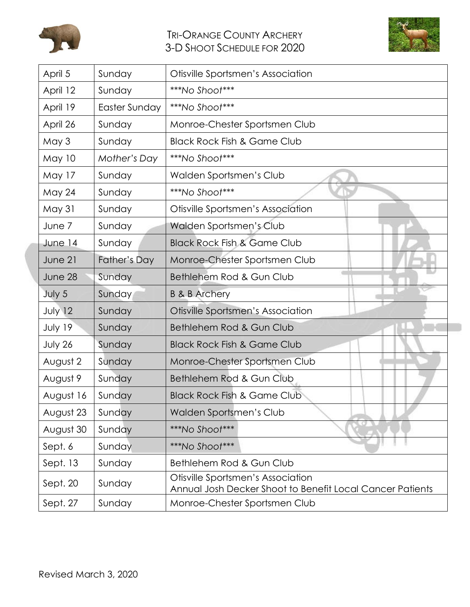

## TRI-ORANGE COUNTY ARCHERY 3-D SHOOT SCHEDULE FOR 2020



| April 5       | Sunday              | Otisville Sportsmen's Association                                                              |
|---------------|---------------------|------------------------------------------------------------------------------------------------|
| April 12      | Sunday              | ***No Shoot***                                                                                 |
| April 19      | Easter Sunday       | ***No Shoot***                                                                                 |
| April 26      | Sunday              | Monroe-Chester Sportsmen Club                                                                  |
| May 3         | Sunday              | <b>Black Rock Fish &amp; Game Club</b>                                                         |
| <b>May 10</b> | Mother's Day        | ***No Shoot***                                                                                 |
| May 17        | Sunday              | Walden Sportsmen's Club                                                                        |
| <b>May 24</b> | Sunday              | ***No Shoot***                                                                                 |
| <b>May 31</b> | Sunday              | Otisville Sportsmen's Association                                                              |
| June 7        | Sunday              | Walden Sportsmen's Club                                                                        |
| June 14       | Sunday              | <b>Black Rock Fish &amp; Game Club</b>                                                         |
| June 21       | <b>Father's Day</b> | Monroe-Chester Sportsmen Club                                                                  |
| June 28       | Sunday              | Bethlehem Rod & Gun Club                                                                       |
| July 5        | Sunday              | <b>B &amp; B Archery</b>                                                                       |
| July 12       | Sunday              | Otisville Sportsmen's Association                                                              |
| July 19       | Sunday              | Bethlehem Rod & Gun Club                                                                       |
| July 26       | Sunday              | <b>Black Rock Fish &amp; Game Club</b>                                                         |
| August 2      | Sunday              | Monroe-Chester Sportsmen Club                                                                  |
| August 9      | Sunday              | Bethlehem Rod & Gun Club                                                                       |
| August 16     | Sunday              | <b>Black Rock Fish &amp; Game Club</b>                                                         |
| August 23     | Sunday              | Walden Sportsmen's Club                                                                        |
| August 30     | Sunday              | ***No Shoot***                                                                                 |
| Sept. 6       | Sunday              | ***No Shoot***                                                                                 |
| Sept. 13      | Sunday              | Bethlehem Rod & Gun Club                                                                       |
| Sept. 20      | Sunday              | Otisville Sportsmen's Association<br>Annual Josh Decker Shoot to Benefit Local Cancer Patients |
| Sept. 27      | Sunday              | Monroe-Chester Sportsmen Club                                                                  |